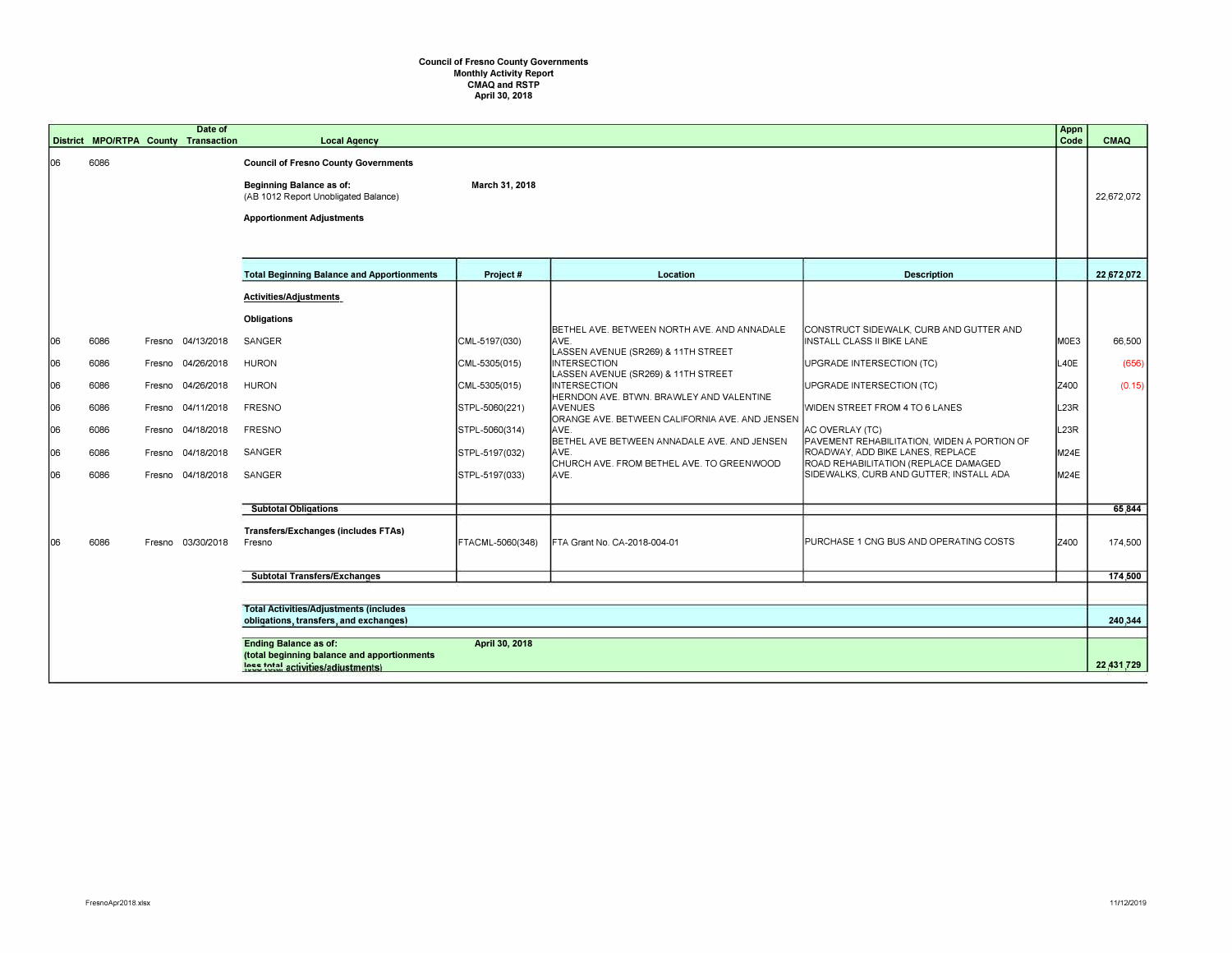## **Council of Fresno County Governments Monthly Activity Report CMAQ and RSTP April 30, 2018**

|    | District MPO/RTPA County Transaction           |        | Date of           | <b>Local Agency</b>                                                                                                                                        |                  |                                                                                            |                                                                              | Appn<br>Code | <b>CMAQ</b> |
|----|------------------------------------------------|--------|-------------------|------------------------------------------------------------------------------------------------------------------------------------------------------------|------------------|--------------------------------------------------------------------------------------------|------------------------------------------------------------------------------|--------------|-------------|
| 06 | 6086                                           |        |                   | <b>Council of Fresno County Governments</b><br><b>Beginning Balance as of:</b><br>(AB 1012 Report Unobligated Balance)<br><b>Apportionment Adjustments</b> | March 31, 2018   |                                                                                            |                                                                              |              | 22,672,072  |
|    |                                                |        |                   | <b>Total Beginning Balance and Apportionments</b>                                                                                                          | Project #        | Location                                                                                   | <b>Description</b>                                                           |              | 22,672,072  |
|    |                                                |        |                   | Activities/Adjustments                                                                                                                                     |                  |                                                                                            |                                                                              |              |             |
|    |                                                |        |                   | <b>Obligations</b>                                                                                                                                         |                  |                                                                                            |                                                                              |              |             |
| 06 | 6086                                           |        | Fresno 04/13/2018 | SANGER                                                                                                                                                     | CML-5197(030)    | BETHEL AVE. BETWEEN NORTH AVE. AND ANNADALE<br>AVE.<br>LASSEN AVENUE (SR269) & 11TH STREET | CONSTRUCT SIDEWALK, CURB AND GUTTER AND<br><b>INSTALL CLASS II BIKE LANE</b> | MOE3         | 66,500      |
| 06 | 6086                                           | Fresno | 04/26/2018        | <b>HURON</b>                                                                                                                                               | CML-5305(015)    | <b>INTERSECTION</b><br>LASSEN AVENUE (SR269) & 11TH STREET                                 | UPGRADE INTERSECTION (TC)                                                    | L40E         | (656)       |
| 06 | 6086                                           | Fresno | 04/26/2018        | <b>HURON</b>                                                                                                                                               | CML-5305(015)    | <b>INTERSECTION</b><br>HERNDON AVE. BTWN. BRAWLEY AND VALENTINE                            | UPGRADE INTERSECTION (TC)                                                    | Z400         | (0.15)      |
| 06 | 6086                                           | Fresno | 04/11/2018        | <b>FRESNO</b>                                                                                                                                              | STPL-5060(221)   | <b>AVENUES</b><br>ORANGE AVE. BETWEEN CALIFORNIA AVE. AND JENSEN                           | WIDEN STREET FROM 4 TO 6 LANES                                               | L23R         |             |
| 06 | 6086                                           | Fresno | 04/18/2018        | <b>FRESNO</b>                                                                                                                                              | STPL-5060(314)   | IAVE.<br>BETHEL AVE BETWEEN ANNADALE AVE. AND JENSEN                                       | AC OVERLAY (TC)<br>PAVEMENT REHABILITATION, WIDEN A PORTION OF               | L23R         |             |
| 06 | 6086                                           | Fresno | 04/18/2018        | SANGER                                                                                                                                                     | STPL-5197(032)   | AVE.<br>CHURCH AVE. FROM BETHEL AVE. TO GREENWOOD                                          | ROADWAY, ADD BIKE LANES, REPLACE<br>ROAD REHABILITATION (REPLACE DAMAGED     | M24E         |             |
| 06 | 6086                                           |        | Fresno 04/18/2018 | SANGER                                                                                                                                                     | STPL-5197(033)   | IAVE.                                                                                      | SIDEWALKS, CURB AND GUTTER; INSTALL ADA                                      | M24E         |             |
|    |                                                |        |                   | <b>Subtotal Obligations</b>                                                                                                                                |                  |                                                                                            |                                                                              |              | 65,844      |
| 06 | 6086                                           |        | Fresno 03/30/2018 | Transfers/Exchanges (includes FTAs)<br>Fresno                                                                                                              | FTACML-5060(348) | FTA Grant No. CA-2018-004-01                                                               | PURCHASE 1 CNG BUS AND OPERATING COSTS                                       | Z400         | 174,500     |
|    |                                                |        |                   | <b>Subtotal Transfers/Exchanges</b>                                                                                                                        |                  |                                                                                            |                                                                              |              | 174,500     |
|    | <b>Total Activities/Adjustments (includes)</b> |        |                   |                                                                                                                                                            |                  |                                                                                            |                                                                              |              |             |
|    |                                                |        |                   | obligations, transfers, and exchanges)                                                                                                                     |                  |                                                                                            |                                                                              |              | 240,344     |
|    |                                                |        |                   | <b>Ending Balance as of:</b><br>(total beginning balance and apportionments<br>less total activities/adjustments)                                          | April 30, 2018   |                                                                                            |                                                                              |              | 22,431,729  |